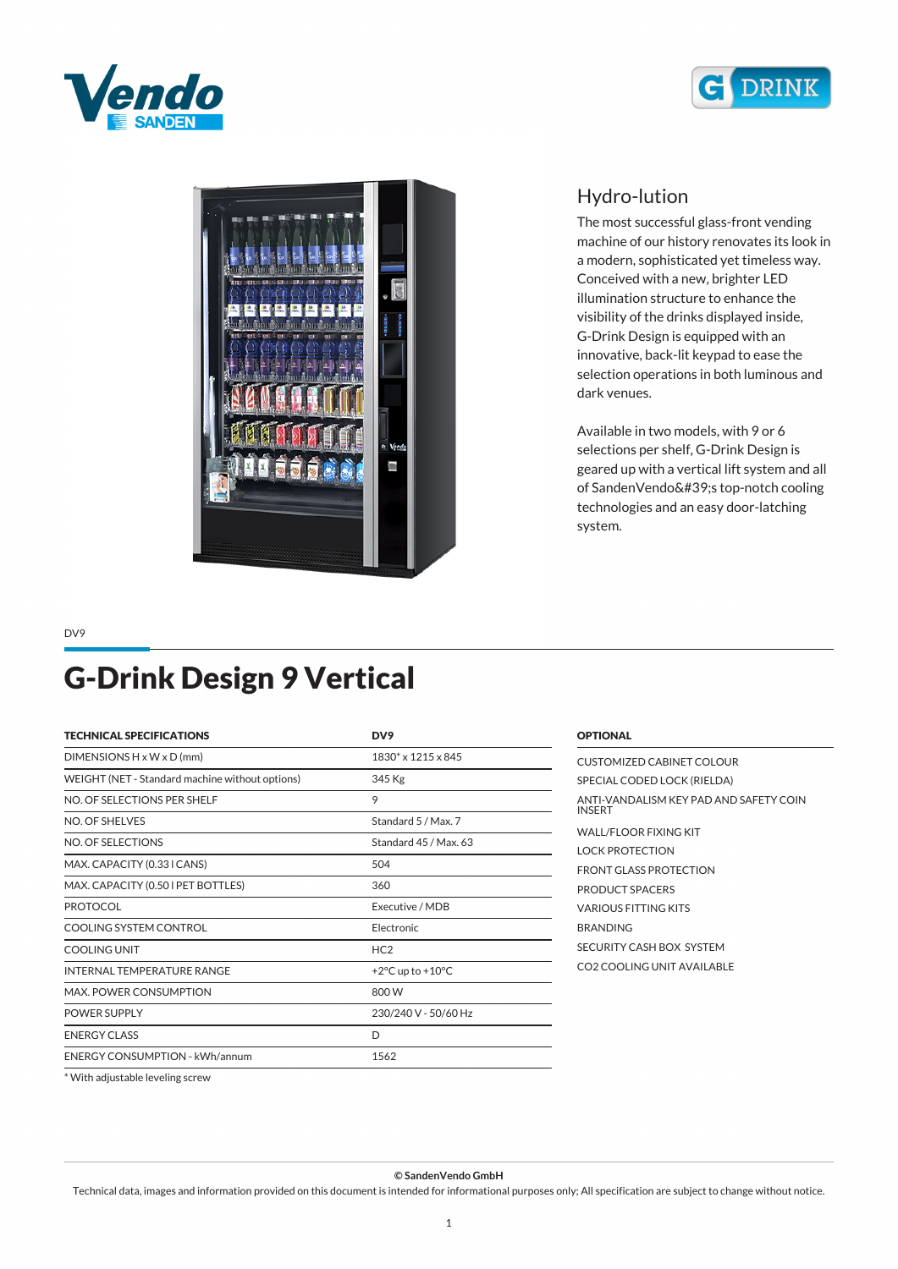





## *Hydro-lution*

*The most successful glass-front vending machine of our history renovates its look in a modern, sophisticated yet timeless way. Conceived with a new, brighter LED illumination structure to enhance the visibility of the drinks displayed inside, G-Drink Design is equipped with an innovative, back-lit keypad to ease the selection operations in both luminous and dark venues.*

*Available in two models, with 9 or 6 selections per shelf, G-Drink Design is geared up with a vertical lift system and all of SandenVendo's top-notch cooling technologies and an easy door-latching system.*

*DV9*

## *G-Drink Design 9 Vertical*

| <b>TECHNICAL SPECIFICATIONS</b>                 | DV9                                  |  |
|-------------------------------------------------|--------------------------------------|--|
| $DIMENSIONS H \times W \times D$ (mm)           | 1830* x 1215 x 845                   |  |
| WEIGHT (NET - Standard machine without options) | 345 Kg                               |  |
| NO. OF SELECTIONS PER SHELF                     | 9                                    |  |
| NO. OF SHELVES                                  | Standard 5 / Max. 7                  |  |
| NO. OF SELECTIONS                               | Standard 45 / Max. 63                |  |
| MAX. CAPACITY (0.33 I CANS)                     | 504                                  |  |
| MAX. CAPACITY (0.50 I PET BOTTLES)              | 360                                  |  |
| <b>PROTOCOL</b>                                 | Executive / MDB                      |  |
| COOLING SYSTEM CONTROL                          | Electronic                           |  |
| <b>COOLING UNIT</b>                             | HC <sub>2</sub>                      |  |
| INTERNAL TEMPERATURE RANGE                      | +2 $\degree$ C up to +10 $\degree$ C |  |
| <b>MAX. POWER CONSUMPTION</b>                   | 800 W                                |  |
| POWER SUPPLY                                    | 230/240 V - 50/60 Hz                 |  |
| <b>ENERGY CLASS</b>                             | D                                    |  |
| <b>ENERGY CONSUMPTION - kWh/annum</b>           | 1562                                 |  |

| CUSTOMIZED CABINET COLOUR                               |
|---------------------------------------------------------|
| SPECIAL CODED LOCK (RIELDA)                             |
| ANTI-VANDALISM KEY PAD AND SAFETY COIN<br><b>INSERT</b> |
| WALL/FLOOR FIXING KIT                                   |
| I OCK PROTECTION                                        |
| <b>FRONT GLASS PROTECTION</b>                           |
| PRODUCT SPACERS                                         |
| <b>VARIOUS FITTING KITS</b>                             |
| <b>BRANDING</b>                                         |
| SECURITY CASH BOX SYSTEM                                |
| CO2 COOLING UNIT AVAILABLE                              |
|                                                         |

*\* With adjustable leveling screw*

*© SandenVendo GmbH*

*Technical data, images and information provided on this document is intended for informational purposes only; All specification are subject to change without notice.*